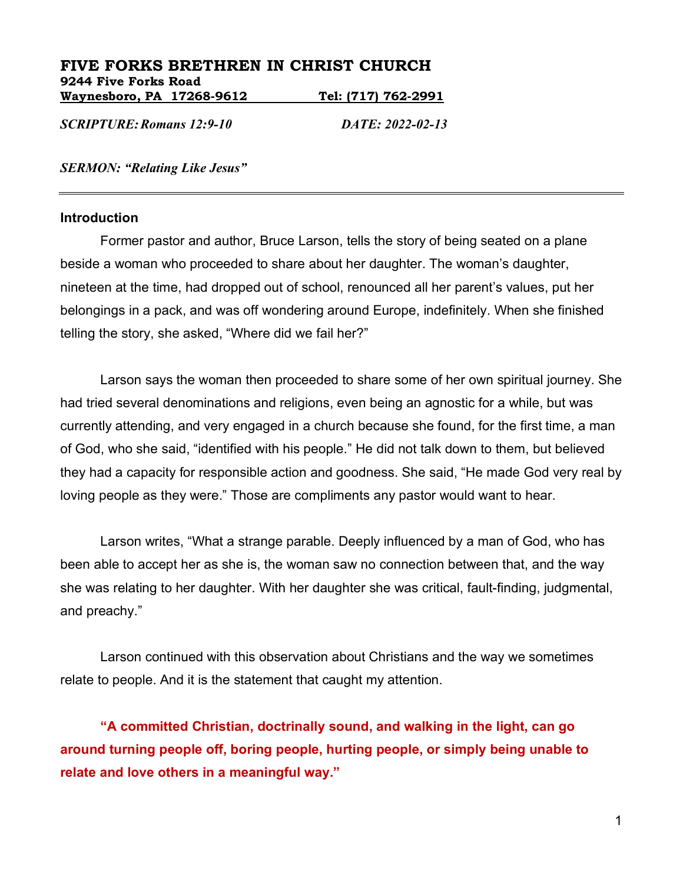### **FIVE FORKS BRETHREN IN CHRIST CHURCH 9244 Five Forks Road Waynesboro, PA 17268-9612 Tel: (717) 762-2991**

*SCRIPTURE:Romans 12:9-10 DATE: 2022-02-13*

*SERMON: "Relating Like Jesus"*

#### **Introduction**

Former pastor and author, Bruce Larson, tells the story of being seated on a plane beside a woman who proceeded to share about her daughter. The woman's daughter, nineteen at the time, had dropped out of school, renounced all her parent's values, put her belongings in a pack, and was off wondering around Europe, indefinitely. When she finished telling the story, she asked, "Where did we fail her?"

Larson says the woman then proceeded to share some of her own spiritual journey. She had tried several denominations and religions, even being an agnostic for a while, but was currently attending, and very engaged in a church because she found, for the first time, a man of God, who she said, "identified with his people." He did not talk down to them, but believed they had a capacity for responsible action and goodness. She said, "He made God very real by loving people as they were." Those are compliments any pastor would want to hear.

Larson writes, "What a strange parable. Deeply influenced by a man of God, who has been able to accept her as she is, the woman saw no connection between that, and the way she was relating to her daughter. With her daughter she was critical, fault-finding, judgmental, and preachy."

Larson continued with this observation about Christians and the way we sometimes relate to people. And it is the statement that caught my attention.

**"A committed Christian, doctrinally sound, and walking in the light, can go around turning people off, boring people, hurting people, or simply being unable to relate and love others in a meaningful way."**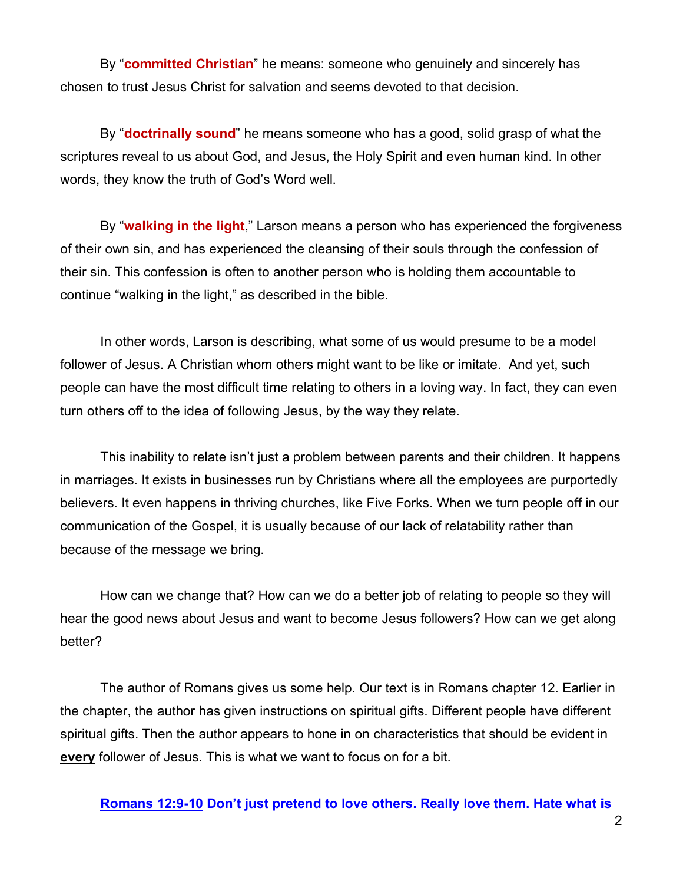By "**committed Christian**" he means: someone who genuinely and sincerely has chosen to trust Jesus Christ for salvation and seems devoted to that decision.

By "**doctrinally sound**" he means someone who has a good, solid grasp of what the scriptures reveal to us about God, and Jesus, the Holy Spirit and even human kind. In other words, they know the truth of God's Word well.

By "**walking in the light**," Larson means a person who has experienced the forgiveness of their own sin, and has experienced the cleansing of their souls through the confession of their sin. This confession is often to another person who is holding them accountable to continue "walking in the light," as described in the bible.

In other words, Larson is describing, what some of us would presume to be a model follower of Jesus. A Christian whom others might want to be like or imitate. And yet, such people can have the most difficult time relating to others in a loving way. In fact, they can even turn others off to the idea of following Jesus, by the way they relate.

This inability to relate isn't just a problem between parents and their children. It happens in marriages. It exists in businesses run by Christians where all the employees are purportedly believers. It even happens in thriving churches, like Five Forks. When we turn people off in our communication of the Gospel, it is usually because of our lack of relatability rather than because of the message we bring.

How can we change that? How can we do a better job of relating to people so they will hear the good news about Jesus and want to become Jesus followers? How can we get along better?

The author of Romans gives us some help. Our text is in Romans chapter 12. Earlier in the chapter, the author has given instructions on spiritual gifts. Different people have different spiritual gifts. Then the author appears to hone in on characteristics that should be evident in **every** follower of Jesus. This is what we want to focus on for a bit.

**Romans 12:9-10 Don't just pretend to love others. Really love them. Hate what is**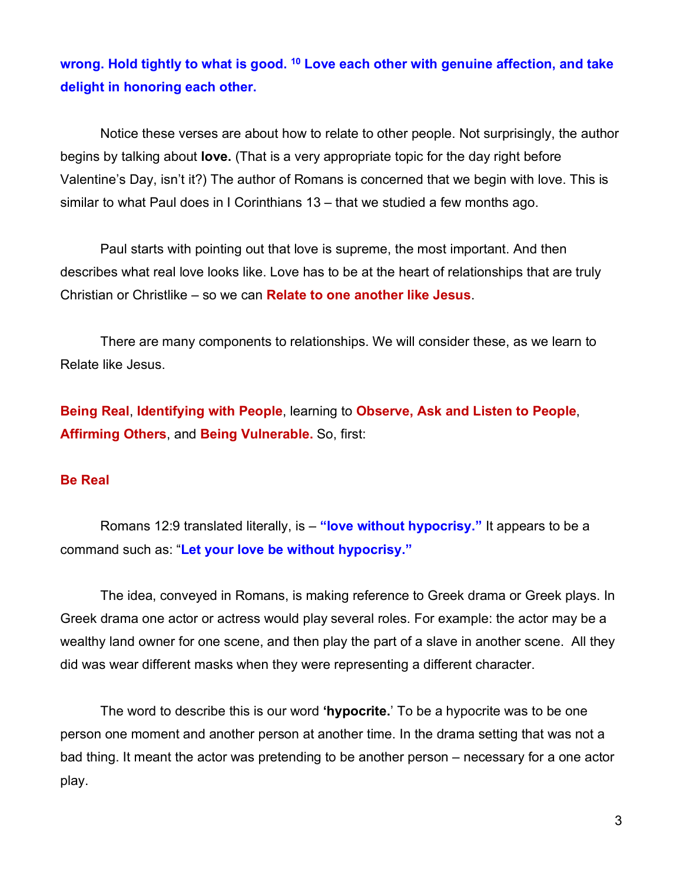# **wrong. Hold tightly to what is good. 10 Love each other with genuine affection, and take delight in honoring each other.**

Notice these verses are about how to relate to other people. Not surprisingly, the author begins by talking about **love.** (That is a very appropriate topic for the day right before Valentine's Day, isn't it?) The author of Romans is concerned that we begin with love. This is similar to what Paul does in I Corinthians 13 – that we studied a few months ago.

Paul starts with pointing out that love is supreme, the most important. And then describes what real love looks like. Love has to be at the heart of relationships that are truly Christian or Christlike – so we can **Relate to one another like Jesus**.

There are many components to relationships. We will consider these, as we learn to Relate like Jesus.

**Being Real**, **Identifying with People**, learning to **Observe, Ask and Listen to People**, **Affirming Others**, and **Being Vulnerable.** So, first:

#### **Be Real**

Romans 12:9 translated literally, is – **"love without hypocrisy."** It appears to be a command such as: "**Let your love be without hypocrisy."**

The idea, conveyed in Romans, is making reference to Greek drama or Greek plays. In Greek drama one actor or actress would play several roles. For example: the actor may be a wealthy land owner for one scene, and then play the part of a slave in another scene. All they did was wear different masks when they were representing a different character.

The word to describe this is our word **'hypocrite.**' To be a hypocrite was to be one person one moment and another person at another time. In the drama setting that was not a bad thing. It meant the actor was pretending to be another person – necessary for a one actor play.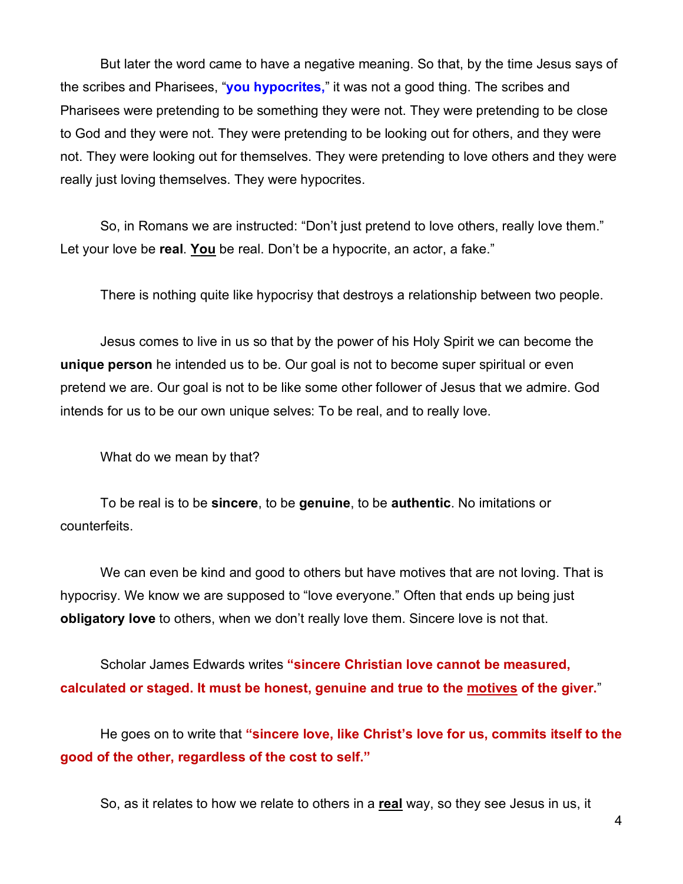But later the word came to have a negative meaning. So that, by the time Jesus says of the scribes and Pharisees, "**you hypocrites,**" it was not a good thing. The scribes and Pharisees were pretending to be something they were not. They were pretending to be close to God and they were not. They were pretending to be looking out for others, and they were not. They were looking out for themselves. They were pretending to love others and they were really just loving themselves. They were hypocrites.

So, in Romans we are instructed: "Don't just pretend to love others, really love them." Let your love be **real**. **You** be real. Don't be a hypocrite, an actor, a fake."

There is nothing quite like hypocrisy that destroys a relationship between two people.

Jesus comes to live in us so that by the power of his Holy Spirit we can become the **unique person** he intended us to be. Our goal is not to become super spiritual or even pretend we are. Our goal is not to be like some other follower of Jesus that we admire. God intends for us to be our own unique selves: To be real, and to really love.

What do we mean by that?

To be real is to be **sincere**, to be **genuine**, to be **authentic**. No imitations or counterfeits.

We can even be kind and good to others but have motives that are not loving. That is hypocrisy. We know we are supposed to "love everyone." Often that ends up being just **obligatory love** to others, when we don't really love them. Sincere love is not that.

Scholar James Edwards writes **"sincere Christian love cannot be measured, calculated or staged. It must be honest, genuine and true to the motives of the giver.**"

He goes on to write that **"sincere love, like Christ's love for us, commits itself to the good of the other, regardless of the cost to self."**

So, as it relates to how we relate to others in a **real** way, so they see Jesus in us, it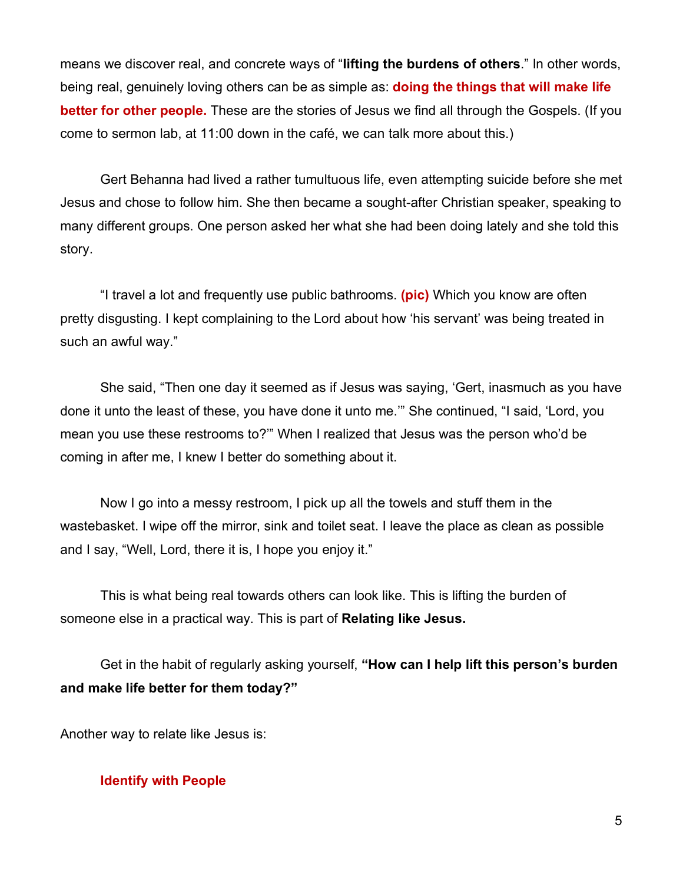means we discover real, and concrete ways of "**lifting the burdens of others**." In other words, being real, genuinely loving others can be as simple as: **doing the things that will make life better for other people.** These are the stories of Jesus we find all through the Gospels. (If you come to sermon lab, at 11:00 down in the café, we can talk more about this.)

Gert Behanna had lived a rather tumultuous life, even attempting suicide before she met Jesus and chose to follow him. She then became a sought-after Christian speaker, speaking to many different groups. One person asked her what she had been doing lately and she told this story.

"I travel a lot and frequently use public bathrooms. **(pic)** Which you know are often pretty disgusting. I kept complaining to the Lord about how 'his servant' was being treated in such an awful way."

She said, "Then one day it seemed as if Jesus was saying, 'Gert, inasmuch as you have done it unto the least of these, you have done it unto me.'" She continued, "I said, 'Lord, you mean you use these restrooms to?'" When I realized that Jesus was the person who'd be coming in after me, I knew I better do something about it.

Now I go into a messy restroom, I pick up all the towels and stuff them in the wastebasket. I wipe off the mirror, sink and toilet seat. I leave the place as clean as possible and I say, "Well, Lord, there it is, I hope you enjoy it."

This is what being real towards others can look like. This is lifting the burden of someone else in a practical way. This is part of **Relating like Jesus.**

Get in the habit of regularly asking yourself, **"How can I help lift this person's burden and make life better for them today?"**

Another way to relate like Jesus is:

## **Identify with People**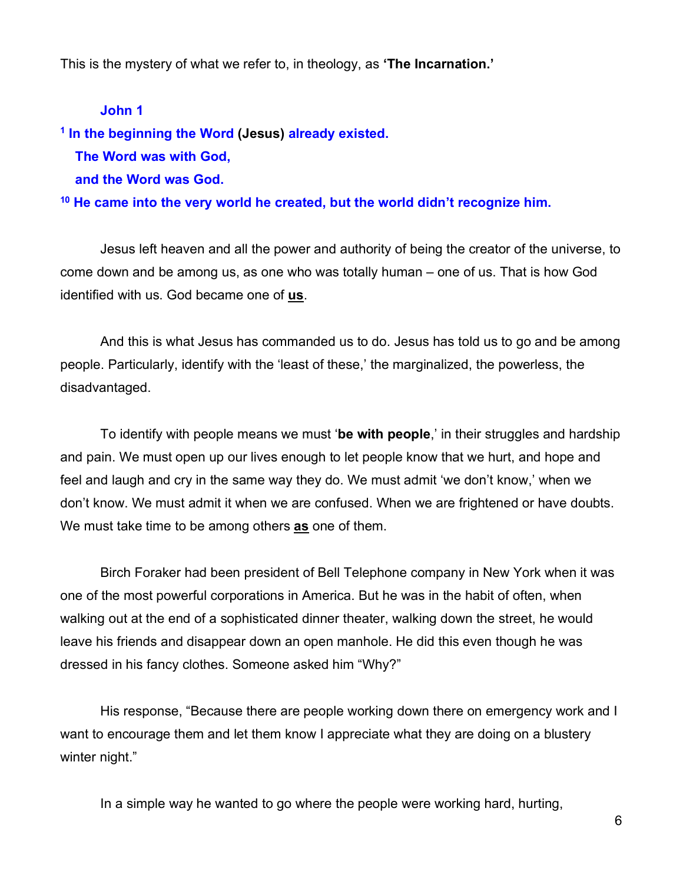This is the mystery of what we refer to, in theology, as **'The Incarnation.'**

## **John 1**

**<sup>1</sup> In the beginning the Word (Jesus) already existed. The Word was with God,**

 **and the Word was God.**

**<sup>10</sup> He came into the very world he created, but the world didn't recognize him.**

Jesus left heaven and all the power and authority of being the creator of the universe, to come down and be among us, as one who was totally human – one of us. That is how God identified with us. God became one of **us**.

And this is what Jesus has commanded us to do. Jesus has told us to go and be among people. Particularly, identify with the 'least of these,' the marginalized, the powerless, the disadvantaged.

To identify with people means we must '**be with people**,' in their struggles and hardship and pain. We must open up our lives enough to let people know that we hurt, and hope and feel and laugh and cry in the same way they do. We must admit 'we don't know,' when we don't know. We must admit it when we are confused. When we are frightened or have doubts. We must take time to be among others **as** one of them.

Birch Foraker had been president of Bell Telephone company in New York when it was one of the most powerful corporations in America. But he was in the habit of often, when walking out at the end of a sophisticated dinner theater, walking down the street, he would leave his friends and disappear down an open manhole. He did this even though he was dressed in his fancy clothes. Someone asked him "Why?"

His response, "Because there are people working down there on emergency work and I want to encourage them and let them know I appreciate what they are doing on a blustery winter night."

In a simple way he wanted to go where the people were working hard, hurting,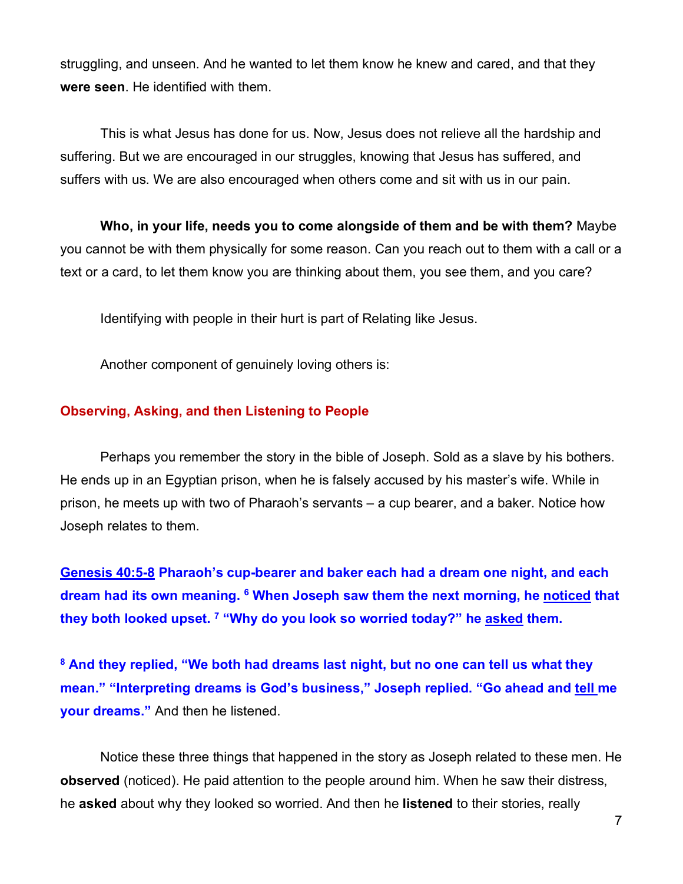struggling, and unseen. And he wanted to let them know he knew and cared, and that they **were seen**. He identified with them.

This is what Jesus has done for us. Now, Jesus does not relieve all the hardship and suffering. But we are encouraged in our struggles, knowing that Jesus has suffered, and suffers with us. We are also encouraged when others come and sit with us in our pain.

**Who, in your life, needs you to come alongside of them and be with them?** Maybe you cannot be with them physically for some reason. Can you reach out to them with a call or a text or a card, to let them know you are thinking about them, you see them, and you care?

Identifying with people in their hurt is part of Relating like Jesus.

Another component of genuinely loving others is:

#### **Observing, Asking, and then Listening to People**

Perhaps you remember the story in the bible of Joseph. Sold as a slave by his bothers. He ends up in an Egyptian prison, when he is falsely accused by his master's wife. While in prison, he meets up with two of Pharaoh's servants – a cup bearer, and a baker. Notice how Joseph relates to them.

**Genesis 40:5-8 Pharaoh's cup-bearer and baker each had a dream one night, and each dream had its own meaning. 6 When Joseph saw them the next morning, he noticed that they both looked upset. 7 "Why do you look so worried today?" he asked them.**

**<sup>8</sup> And they replied, "We both had dreams last night, but no one can tell us what they mean." "Interpreting dreams is God's business," Joseph replied. "Go ahead and tell me your dreams."** And then he listened.

Notice these three things that happened in the story as Joseph related to these men. He **observed** (noticed). He paid attention to the people around him. When he saw their distress, he **asked** about why they looked so worried. And then he **listened** to their stories, really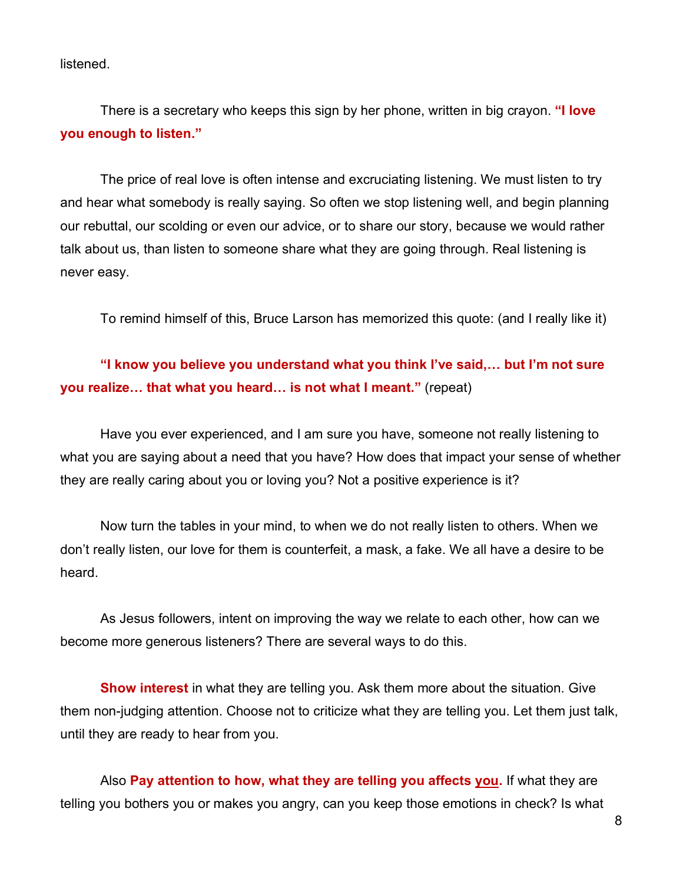listened.

There is a secretary who keeps this sign by her phone, written in big crayon. **"I love you enough to listen."**

The price of real love is often intense and excruciating listening. We must listen to try and hear what somebody is really saying. So often we stop listening well, and begin planning our rebuttal, our scolding or even our advice, or to share our story, because we would rather talk about us, than listen to someone share what they are going through. Real listening is never easy.

To remind himself of this, Bruce Larson has memorized this quote: (and I really like it)

## **"I know you believe you understand what you think I've said,… but I'm not sure you realize… that what you heard… is not what I meant."** (repeat)

Have you ever experienced, and I am sure you have, someone not really listening to what you are saying about a need that you have? How does that impact your sense of whether they are really caring about you or loving you? Not a positive experience is it?

Now turn the tables in your mind, to when we do not really listen to others. When we don't really listen, our love for them is counterfeit, a mask, a fake. We all have a desire to be heard.

As Jesus followers, intent on improving the way we relate to each other, how can we become more generous listeners? There are several ways to do this.

**Show interest** in what they are telling you. Ask them more about the situation. Give them non-judging attention. Choose not to criticize what they are telling you. Let them just talk, until they are ready to hear from you.

Also **Pay attention to how, what they are telling you affects you.** If what they are telling you bothers you or makes you angry, can you keep those emotions in check? Is what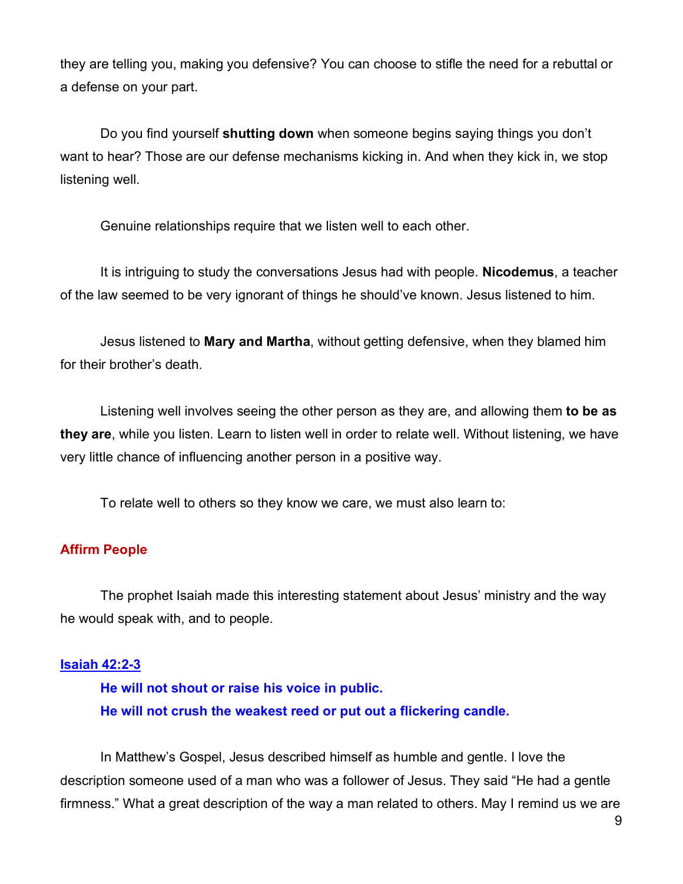they are telling you, making you defensive? You can choose to stifle the need for a rebuttal or a defense on your part.

Do you find yourself **shutting down** when someone begins saying things you don't want to hear? Those are our defense mechanisms kicking in. And when they kick in, we stop listening well.

Genuine relationships require that we listen well to each other.

It is intriguing to study the conversations Jesus had with people. **Nicodemus**, a teacher of the law seemed to be very ignorant of things he should've known. Jesus listened to him.

Jesus listened to **Mary and Martha**, without getting defensive, when they blamed him for their brother's death.

Listening well involves seeing the other person as they are, and allowing them **to be as they are**, while you listen. Learn to listen well in order to relate well. Without listening, we have very little chance of influencing another person in a positive way.

To relate well to others so they know we care, we must also learn to:

## **Affirm People**

The prophet Isaiah made this interesting statement about Jesus' ministry and the way he would speak with, and to people.

#### **Isaiah 42:2-3**

**He will not shout or raise his voice in public. He will not crush the weakest reed or put out a flickering candle.**

In Matthew's Gospel, Jesus described himself as humble and gentle. I love the description someone used of a man who was a follower of Jesus. They said "He had a gentle firmness." What a great description of the way a man related to others. May I remind us we are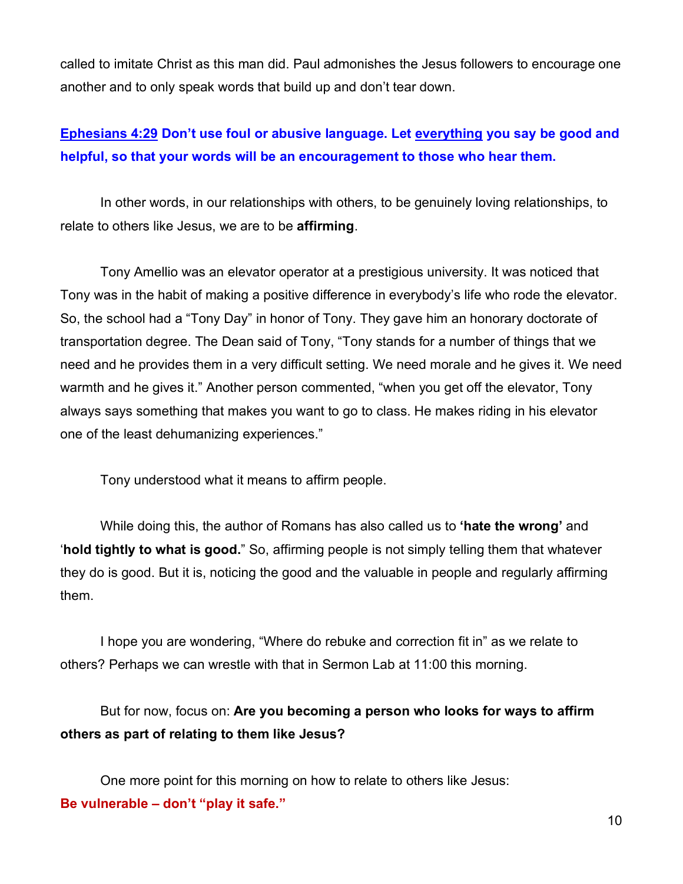called to imitate Christ as this man did. Paul admonishes the Jesus followers to encourage one another and to only speak words that build up and don't tear down.

## **Ephesians 4:29 Don't use foul or abusive language. Let everything you say be good and helpful, so that your words will be an encouragement to those who hear them.**

In other words, in our relationships with others, to be genuinely loving relationships, to relate to others like Jesus, we are to be **affirming**.

Tony Amellio was an elevator operator at a prestigious university. It was noticed that Tony was in the habit of making a positive difference in everybody's life who rode the elevator. So, the school had a "Tony Day" in honor of Tony. They gave him an honorary doctorate of transportation degree. The Dean said of Tony, "Tony stands for a number of things that we need and he provides them in a very difficult setting. We need morale and he gives it. We need warmth and he gives it." Another person commented, "when you get off the elevator, Tony always says something that makes you want to go to class. He makes riding in his elevator one of the least dehumanizing experiences."

Tony understood what it means to affirm people.

While doing this, the author of Romans has also called us to **'hate the wrong'** and '**hold tightly to what is good.**" So, affirming people is not simply telling them that whatever they do is good. But it is, noticing the good and the valuable in people and regularly affirming them.

I hope you are wondering, "Where do rebuke and correction fit in" as we relate to others? Perhaps we can wrestle with that in Sermon Lab at 11:00 this morning.

But for now, focus on: **Are you becoming a person who looks for ways to affirm others as part of relating to them like Jesus?**

One more point for this morning on how to relate to others like Jesus: **Be vulnerable – don't "play it safe."**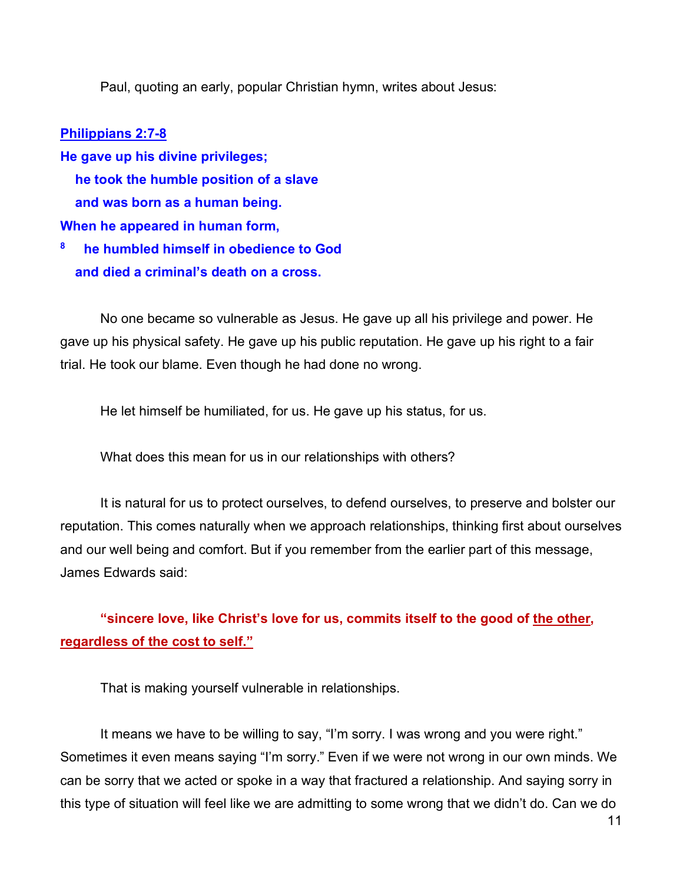Paul, quoting an early, popular Christian hymn, writes about Jesus:

## **Philippians 2:7-8**

- **He gave up his divine privileges; he took the humble position of a slave and was born as a human being. When he appeared in human form,**
- **8 he humbled himself in obedience to God and died a criminal's death on a cross.**

No one became so vulnerable as Jesus. He gave up all his privilege and power. He gave up his physical safety. He gave up his public reputation. He gave up his right to a fair trial. He took our blame. Even though he had done no wrong.

He let himself be humiliated, for us. He gave up his status, for us.

What does this mean for us in our relationships with others?

It is natural for us to protect ourselves, to defend ourselves, to preserve and bolster our reputation. This comes naturally when we approach relationships, thinking first about ourselves and our well being and comfort. But if you remember from the earlier part of this message, James Edwards said:

**"sincere love, like Christ's love for us, commits itself to the good of the other, regardless of the cost to self."**

That is making yourself vulnerable in relationships.

It means we have to be willing to say, "I'm sorry. I was wrong and you were right." Sometimes it even means saying "I'm sorry." Even if we were not wrong in our own minds. We can be sorry that we acted or spoke in a way that fractured a relationship. And saying sorry in this type of situation will feel like we are admitting to some wrong that we didn't do. Can we do